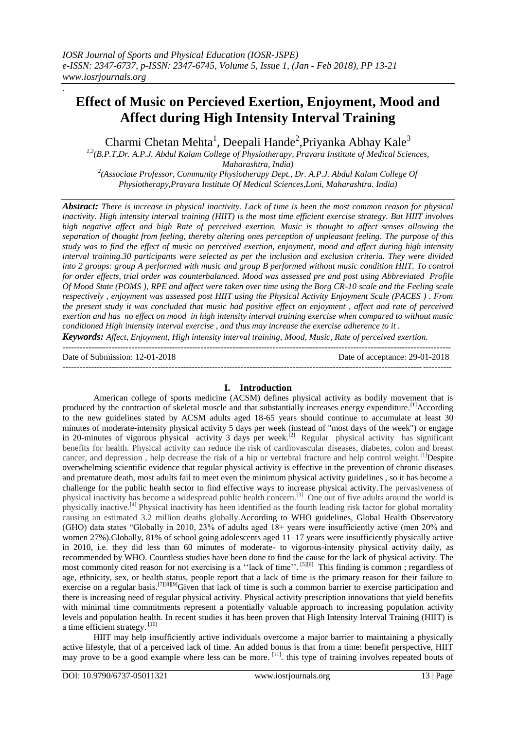# **Effect of Music on Percieved Exertion, Enjoyment, Mood and Affect during High Intensity Interval Training**

Charmi Chetan Mehta<sup>1</sup>, Deepali Hande<sup>2</sup>, Priyanka Abhay Kale<sup>3</sup>

*1,3(B.P.T,Dr. A.P.J. Abdul Kalam College of Physiotherapy, Pravara Institute of Medical Sciences, Maharashtra, India)*

<sup>2</sup>(Associate Professor, Community Physiotherapy Dept., Dr. A.P.J. Abdul Kalam College Of *Physiotherapy,Pravara Institute Of Medical Sciences,Loni, Maharashtra. India)*

*Abstract: There is increase in physical inactivity. Lack of time is been the most common reason for physical inactivity. High intensity interval training (HIIT) is the most time efficient exercise strategy. But HIIT involves high negative affect and high Rate of perceived exertion. Music is thought to affect senses allowing the separation of thought from feeling, thereby altering ones perception of unpleasant feeling. The purpose of this study was to find the effect of music on perceived exertion, enjoyment, mood and affect during high intensity interval training.30 participants were selected as per the inclusion and exclusion criteria. They were divided into 2 groups: group A performed with music and group B performed without music condition HIIT. To control for order effects, trial order was counterbalanced. Mood was assessed pre and post using Abbreviated Profile Of Mood State (POMS ), RPE and affect were taken over time using the Borg CR-10 scale and the Feeling scale respectively , enjoyment was assessed post HIIT using the Physical Activity Enjoyment Scale (PACES ) . From the present study it was concluded that music had positive effect on enjoyment , affect and rate of perceived exertion and has no effect on mood in high intensity interval training exercise when compared to without music conditioned High intensity interval exercise , and thus may increase the exercise adherence to it .*

*Keywords: Affect, Enjoyment, High intensity interval training, Mood, Music, Rate of perceived exertion. --------------------------------*-------------------------------------------------------------------------------------------------------

Date of Submission: 12-01-2018 Date of acceptance: 29-01-2018

.

---------------------------------------------------------------------------------------------------------------------------------------

# **I. Introduction**

American college of sports medicine (ACSM) defines physical activity as bodily movement that is produced by the contraction of skeletal muscle and that substantially increases energy expenditure.<sup>[1]</sup>According to the new guidelines stated by ACSM adults aged 18-65 years should continue to accumulate at least 30 minutes of moderate-intensity physical activity 5 days per week (instead of "most days of the week") or engage in 20-minutes of vigorous physical activity 3 days per week.<sup>[2]</sup> Regular physical activity has significant benefits for health. Physical activity can reduce the risk of cardiovascular diseases, diabetes, colon and breast cancer, and depression, help decrease the risk of a hip or vertebral fracture and help control weight.<sup>[1]</sup>Despite overwhelming scientific evidence that regular physical activity is effective in the prevention of chronic diseases and premature death, most adults fail to meet even the minimum physical activity guidelines , so it has become a challenge for the public health sector to find effective ways to increase physical activity.The pervasiveness of physical inactivity has become a widespread public health concern.<sup>[3]</sup> One out of five adults around the world is physically inactive.[4] Physical inactivity has been identified as the fourth leading risk factor for global mortality causing an estimated 3.2 million deaths globally.According to WHO guidelines, Global Health Observatory (GHO) data states "Globally in 2010, 23% of adults aged 18+ years were insufficiently active (men 20% and women 27%).Globally, 81% of school going adolescents aged 11–17 years were insufficiently physically active in 2010, i.e. they did less than 60 minutes of moderate- to vigorous-intensity physical activity daily, as recommended by WHO. Countless studies have been done to find the cause for the lack of physical activity. The most commonly cited reason for not exercising is a "lack of time". [5][6] This finding is common; regardless of age, ethnicity, sex, or health status, people report that a lack of time is the primary reason for their failure to exercise on a regular basis.<sup>[7][8][9]</sup>Given that lack of time is such a common barrier to exercise participation and there is increasing need of regular physical activity. Physical activity prescription innovations that yield benefits with minimal time commitments represent a potentially valuable approach to increasing population activity levels and population health. In recent studies it has been proven that High Intensity Interval Training (HIIT) is a time efficient strategy. [10]

HIIT may help insufficiently active individuals overcome a major barrier to maintaining a physically active lifestyle, that of a perceived lack of time. An added bonus is that from a time: benefit perspective, HIIT may prove to be a good example where less can be more. [11]. this type of training involves repeated bouts of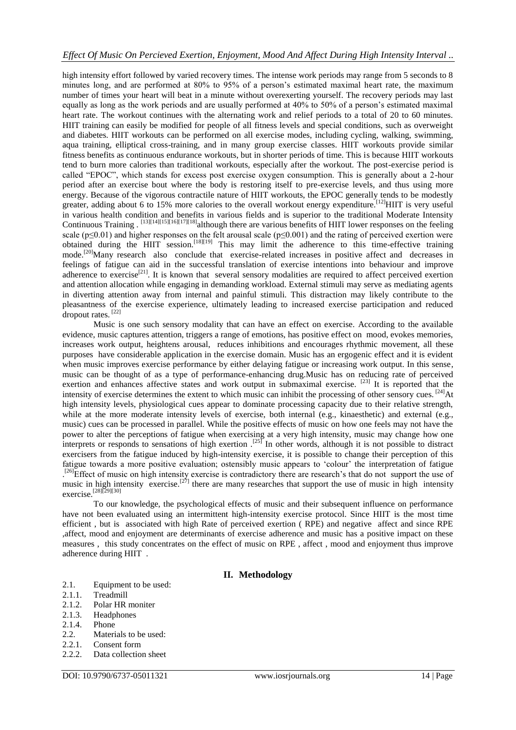high intensity effort followed by varied recovery times. The intense work periods may range from 5 seconds to 8 minutes long, and are performed at 80% to 95% of a person"s estimated maximal heart rate, the maximum number of times your heart will beat in a minute without overexerting yourself. The recovery periods may last equally as long as the work periods and are usually performed at 40% to 50% of a person"s estimated maximal heart rate. The workout continues with the alternating work and relief periods to a total of 20 to 60 minutes. HIIT training can easily be modified for people of all fitness levels and special conditions, such as overweight and diabetes. HIIT workouts can be performed on all exercise modes, including cycling, walking, swimming, aqua training, elliptical cross-training, and in many group exercise classes. HIIT workouts provide similar fitness benefits as continuous endurance workouts, but in shorter periods of time. This is because HIIT workouts tend to burn more calories than traditional workouts, especially after the workout. The post-exercise period is called "EPOC", which stands for excess post exercise oxygen consumption. This is generally about a 2-hour period after an exercise bout where the body is restoring itself to pre-exercise levels, and thus using more energy. Because of the vigorous contractile nature of HIIT workouts, the EPOC generally tends to be modestly greater, adding about 6 to 15% more calories to the overall workout energy expenditure.<sup>[12]</sup>HIIT is very useful in various health condition and benefits in various fields and is superior to the traditional Moderate Intensity Continuous Training . [13][14][15][16][17][18]although there are various benefits of HIIT lower responses on the feeling scale ( $p \le 0.01$ ) and higher responses on the felt arousal scale ( $p \le 0.001$ ) and the rating of perceived exertion were obtained during the HIIT session.<sup>[18][19]</sup> This may limit the adherence to this time-effective training mode.<sup>[20]</sup>Many research also conclude that exercise-related increases in positive affect and decreases in feelings of fatigue can aid in the successful translation of exercise intentions into behaviour and improve adherence to exercise<sup>[21]</sup>. It is known that several sensory modalities are required to affect perceived exertion and attention allocation while engaging in demanding workload. External stimuli may serve as mediating agents in diverting attention away from internal and painful stimuli. This distraction may likely contribute to the pleasantness of the exercise experience, ultimately leading to increased exercise participation and reduced dropout rates.<sup>[22]</sup>

Music is one such sensory modality that can have an effect on exercise. According to the available evidence, music captures attention, triggers a range of emotions, has positive effect on mood, evokes memories, increases work output, heightens arousal, reduces inhibitions and encourages rhythmic movement, all these purposes have considerable application in the exercise domain. Music has an ergogenic effect and it is evident when music improves exercise performance by either delaying fatigue or increasing work output. In this sense, music can be thought of as a type of performance-enhancing drug.Music has on reducing rate of perceived exertion and enhances affective states and work output in submaximal exercise. <sup>[23]</sup> It is reported that the intensity of exercise determines the extent to which music can inhibit the processing of other sensory cues.  $^{[24]}\text{At}$ high intensity levels, physiological cues appear to dominate processing capacity due to their relative strength, while at the more moderate intensity levels of exercise, both internal (e.g., kinaesthetic) and external (e.g., music) cues can be processed in parallel. While the positive effects of music on how one feels may not have the power to alter the perceptions of fatigue when exercising at a very high intensity, music may change how one interprets or responds to sensations of high exertion  $^{[25]}$  In other words, although it is not possible to distract exercisers from the fatigue induced by high-intensity exercise, it is possible to change their perception of this fatigue towards a more positive evaluation; ostensibly music appears to "colour" the interpretation of fatigue <sup>[26]</sup>Effect of music on high intensity exercise is contradictory there are research's that do not support the use of music in high intensity exercise.<sup>[27]</sup> there are many researches that support the use of music in high intensity exercise.[28][29][30]

To our knowledge, the psychological effects of music and their subsequent influence on performance have not been evaluated using an intermittent high-intensity exercise protocol. Since HIIT is the most time efficient , but is associated with high Rate of perceived exertion ( RPE) and negative affect and since RPE ,affect, mood and enjoyment are determinants of exercise adherence and music has a positive impact on these measures , this study concentrates on the effect of music on RPE , affect , mood and enjoyment thus improve adherence during HIIT .

# **II. Methodology**

- 2.1. Equipment to be used:
- 2.1.1. Treadmill
- 2.1.2. Polar HR moniter
- 2.1.3. Headphones
- 2.1.4. Phone
- 2.2. Materials to be used:
- 2.2.1. Consent form
- 2.2.2. Data collection sheet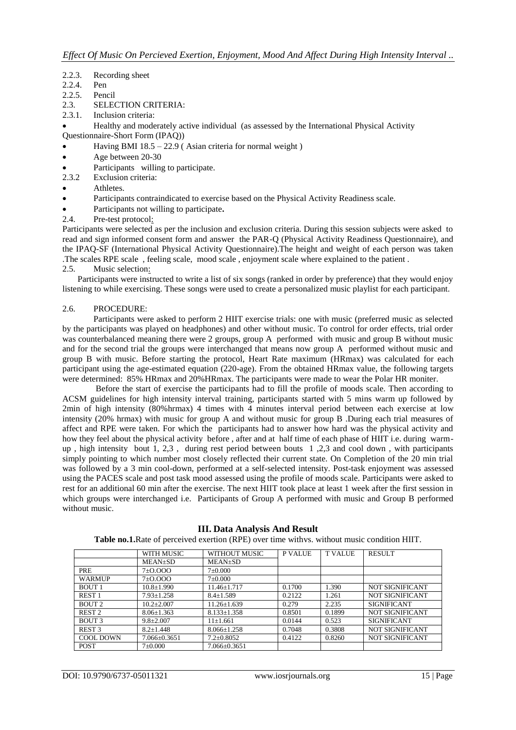- 2.2.3. Recording sheet
- 2.2.4. Pen
- 2.2.5. Pencil
- 2.3. SELECTION CRITERIA:
- 2.3.1. Inclusion criteria:
- Healthy and moderately active individual (as assessed by the International Physical Activity Questionnaire-Short Form (IPAQ))
- Having BMI 18.5 22.9 ( Asian criteria for normal weight )
- Age between 20-30
- Participants willing to participate.
- 2.3.2 Exclusion criteria:
- Athletes.
- Participants contraindicated to exercise based on the Physical Activity Readiness scale.
- Participants not willing to participate**.**
- 2.4. Pre-test protocol:

Participants were selected as per the inclusion and exclusion criteria. During this session subjects were asked to read and sign informed consent form and answer the PAR-Q (Physical Activity Readiness Questionnaire), and the IPAQ-SF (International Physical Activity Questionnaire).The height and weight of each person was taken .The scales RPE scale , feeling scale, mood scale , enjoyment scale where explained to the patient .

2.5. Music selection:

 Participants were instructed to write a list of six songs (ranked in order by preference) that they would enjoy listening to while exercising. These songs were used to create a personalized music playlist for each participant.

#### 2.6. PROCEDURE:

Participants were asked to perform 2 HIIT exercise trials: one with music (preferred music as selected by the participants was played on headphones) and other without music. To control for order effects, trial order was counterbalanced meaning there were 2 groups, group A performed with music and group B without music and for the second trial the groups were interchanged that means now group A performed without music and group B with music. Before starting the protocol, Heart Rate maximum (HRmax) was calculated for each participant using the age-estimated equation (220-age). From the obtained HRmax value, the following targets were determined: 85% HRmax and 20%HRmax. The participants were made to wear the Polar HR moniter.

Before the start of exercise the participants had to fill the profile of moods scale. Then according to ACSM guidelines for high intensity interval training, participants started with 5 mins warm up followed by 2min of high intensity (80%hrmax) 4 times with 4 minutes interval period between each exercise at low intensity (20% hrmax) with music for group A and without music for group B .During each trial measures of affect and RPE were taken. For which the participants had to answer how hard was the physical activity and how they feel about the physical activity before, after and at half time of each phase of HIIT i.e. during warmup , high intensity bout 1, 2,3 , during rest period between bouts 1 ,2,3 and cool down , with participants simply pointing to which number most closely reflected their current state. On Completion of the 20 min trial was followed by a 3 min cool-down, performed at a self-selected intensity. Post-task enjoyment was assessed using the PACES scale and post task mood assessed using the profile of moods scale. Participants were asked to rest for an additional 60 min after the exercise. The next HIIT took place at least 1 week after the first session in which groups were interchanged i.e. Participants of Group A performed with music and Group B performed without music.

|                   | WITH MUSIC       | WITHOUT MUSIC      | <b>P VALUE</b> | <b>T VALUE</b> | <b>RESULT</b>          |
|-------------------|------------------|--------------------|----------------|----------------|------------------------|
|                   | MEAN±SD          | <b>MEAN±SD</b>     |                |                |                        |
| PRE               | 7 ± 0.000        | $7 \pm 0.000$      |                |                |                        |
| WARMUP            | 7 ± 0.000        | $7 \pm 0.000$      |                |                |                        |
| <b>BOUT 1</b>     | $10.8 \pm 1.990$ | $11.46 + 1.717$    | 0.1700         | 1.390          | NOT SIGNIFICANT        |
| <b>REST1</b>      | $7.93 \pm 1.258$ | $8.4 \pm 1.589$    | 0.2122         | 1.261          | <b>NOT SIGNIFICANT</b> |
| BOUT <sub>2</sub> | $10.2 + 2.007$   | $11.26 \pm 1.639$  | 0.279          | 2.235          | <b>SIGNIFICANT</b>     |
| REST <sub>2</sub> | $8.06 \pm 1.363$ | $8.133 \pm 1.358$  | 0.8501         | 0.1899         | NOT SIGNIFICANT        |
| <b>BOUT 3</b>     | $9.8 \pm 2.007$  | $11+1.661$         | 0.0144         | 0.523          | <b>SIGNIFICANT</b>     |
| REST <sub>3</sub> | $8.2 + 1.448$    | $8.066 \pm 1.258$  | 0.7048         | 0.3808         | <b>NOT SIGNIFICANT</b> |
| <b>COOL DOWN</b>  | 7.066±0.3651     | $7.2 \pm 0.8052$   | 0.4122         | 0.8260         | <b>NOT SIGNIFICANT</b> |
| <b>POST</b>       | $7 \pm 0.000$    | $7.066 \pm 0.3651$ |                |                |                        |

**III. Data Analysis And Result Table no.1.**Rate of perceived exertion (RPE) over time withvs. without music condition HIIT.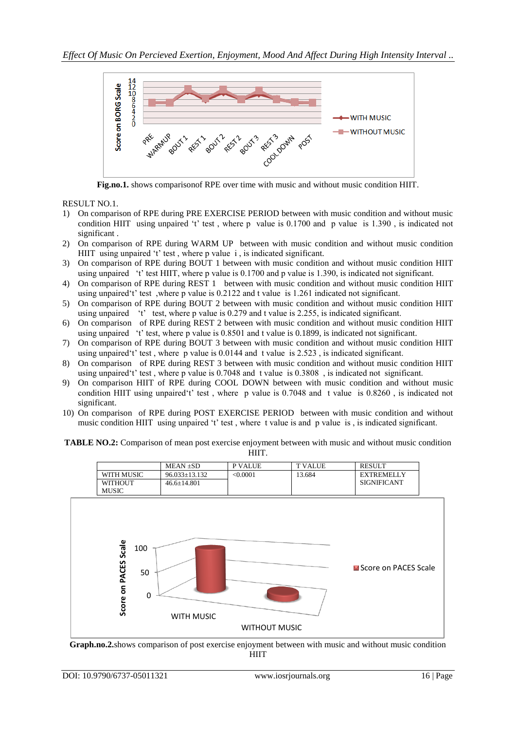

**Fig.no.1.** shows comparisonof RPE over time with music and without music condition HIIT.

RESULT NO.1.

- 1) On comparison of RPE during PRE EXERCISE PERIOD between with music condition and without music condition HIIT using unpaired 't' test, where p value is 0.1700 and p value is 1.390, is indicated not significant .
- 2) On comparison of RPE during WARM UP between with music condition and without music condition HIIT using unpaired 't' test, where p value i, is indicated significant.
- 3) On comparison of RPE during BOUT 1 between with music condition and without music condition HIIT using unpaired "t" test HIIT, where p value is 0.1700 and p value is 1.390, is indicated not significant.
- 4) On comparison of RPE during REST 1 between with music condition and without music condition HIIT using unpaired't' test, where p value is 0.2122 and t value is 1.261 indicated not significant.
- 5) On comparison of RPE during BOUT 2 between with music condition and without music condition HIIT using unpaired  $'t'$  test, where p value is 0.279 and t value is 2.255, is indicated significant.
- 6) On comparison of RPE during REST 2 between with music condition and without music condition HIIT using unpaired "t" test, where p value is 0.8501 and t value is 0.1899, is indicated not significant.
- 7) On comparison of RPE during BOUT 3 between with music condition and without music condition HIIT using unpaired 't' test, where p value is  $0.0144$  and t value is  $2.523$ , is indicated significant.
- 8) On comparison of RPE during REST 3 between with music condition and without music condition HIIT using unpaired"t" test , where p value is 0.7048 and t value is 0.3808 , is indicated not significant.
- 9) On comparison HIIT of RPE during COOL DOWN between with music condition and without music condition HIIT using unpaired 't' test, where p value is 0.7048 and t value is 0.8260, is indicated not significant.
- 10) On comparison of RPE during POST EXERCISE PERIOD between with music condition and without music condition HIIT using unpaired 't' test, where t value is and p value is, is indicated significant.

| TABLE NO.2: Comparison of mean post exercise enjoyment between with music and without music condition |  |
|-------------------------------------------------------------------------------------------------------|--|
| HIIT.                                                                                                 |  |



**HIIT**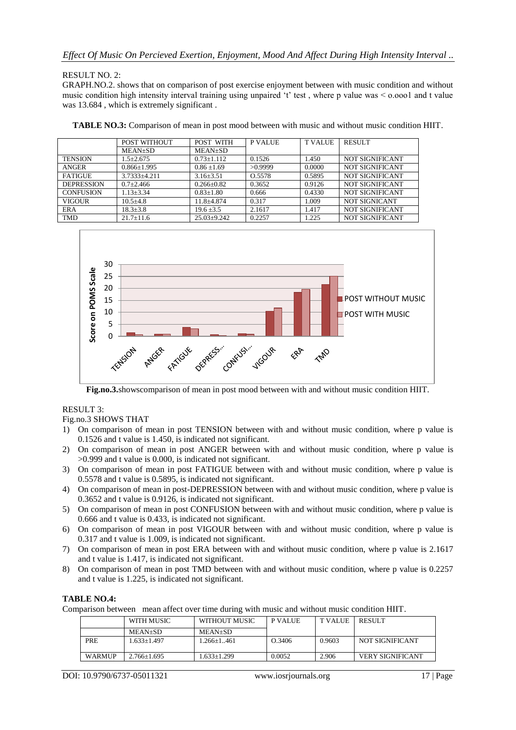# RESULT NO. 2:

GRAPH.NO.2. shows that on comparison of post exercise enjoyment between with music condition and without music condition high intensity interval training using unpaired 't' test, where p value was  $\leq 0.0001$  and t value was 13.684, which is extremely significant.

|                   | POST WITHOUT      | POST WITH        | <b>P VALUE</b> | <b>TVALUE</b> | <b>RESULT</b>          |
|-------------------|-------------------|------------------|----------------|---------------|------------------------|
|                   | MEAN±SD           | <b>MEAN±SD</b>   |                |               |                        |
| <b>TENSION</b>    | $1.5 \pm 2.675$   | $0.73 + 1.112$   | 0.1526         | 1.450         | NOT SIGNIFICANT        |
| ANGER             | $0.866 \pm 1.995$ | $0.86 \pm 1.69$  | >0.9999        | 0.0000        | NOT SIGNIFICANT        |
| <b>FATIGUE</b>    | 3.7333+4.211      | $3.16 \pm 3.51$  | O.5578         | 0.5895        | NOT SIGNIFICANT        |
| <b>DEPRESSION</b> | $0.7+2.466$       | $0.266 \pm 0.82$ | 0.3652         | 0.9126        | NOT SIGNIFICANT        |
| <b>CONFUSION</b>  | $1.13 \pm 3.34$   | $0.83 \pm 1.80$  | 0.666          | 0.4330        | NOT SIGNIFICANT        |
| VIGOUR            | $10.5 + 4.8$      | 11.8+4.874       | 0.317          | 1.009         | NOT SIGNICANT          |
| ERA               | $18.3 \pm 3.8$    | $19.6 \pm 3.5$   | 2.1617         | 1.417         | NOT SIGNIFICANT        |
| <b>TMD</b>        | $21.7 \pm 11.6$   | $25.03+9.242$    | 0.2257         | 1.225         | <b>NOT SIGNIFICANT</b> |





**Fig.no.3.**showscomparison of mean in post mood between with and without music condition HIIT.

# RESULT 3:

# Fig.no.3 SHOWS THAT

- 1) On comparison of mean in post TENSION between with and without music condition, where p value is 0.1526 and t value is 1.450, is indicated not significant.
- 2) On comparison of mean in post ANGER between with and without music condition, where p value is >0.999 and t value is 0.000, is indicated not significant.
- 3) On comparison of mean in post FATIGUE between with and without music condition, where p value is 0.5578 and t value is 0.5895, is indicated not significant.
- 4) On comparison of mean in post-DEPRESSION between with and without music condition, where p value is 0.3652 and t value is 0.9126, is indicated not significant.
- 5) On comparison of mean in post CONFUSION between with and without music condition, where p value is 0.666 and t value is 0.433, is indicated not significant.
- 6) On comparison of mean in post VIGOUR between with and without music condition, where p value is 0.317 and t value is 1.009, is indicated not significant.
- 7) On comparison of mean in post ERA between with and without music condition, where p value is 2.1617 and t value is 1.417, is indicated not significant.
- 8) On comparison of mean in post TMD between with and without music condition, where p value is 0.2257 and t value is 1.225, is indicated not significant.

# **TABLE NO.4:**

Comparison between mean affect over time during with music and without music condition HIIT.

|        | WITH MUSIC      | WITHOUT MUSIC | P VALUE | <b>TVALUE</b> | <b>RESULT</b>           |
|--------|-----------------|---------------|---------|---------------|-------------------------|
|        | MEAN+SD         | $MEAN+SD$     |         |               |                         |
| PRE    | $.633+1.497$    | $.266+1.461$  | Q.3406  | 0.9603        | NOT SIGNIFICANT         |
|        |                 |               |         |               |                         |
| WARMUP | $2.766 + 1.695$ | $.633+1.299$  | 0.0052  | 2.906         | <b>VERY SIGNIFICANT</b> |

DOI: 10.9790/6737-05011321 www.iosrjournals.org 17 | Page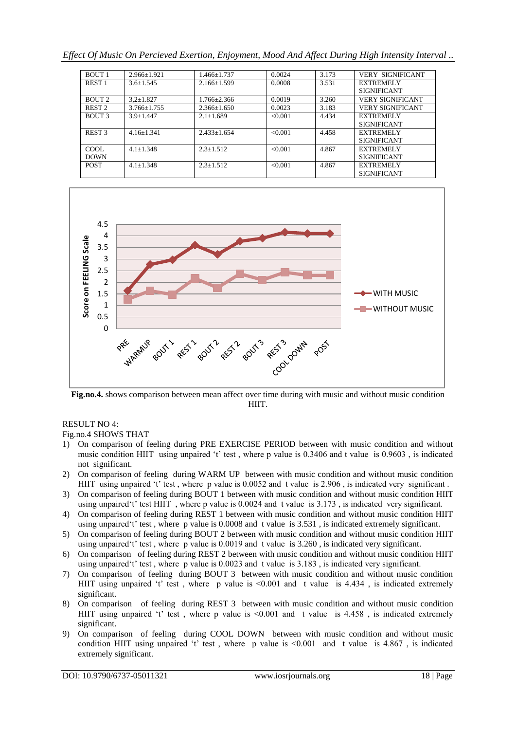*Effect Of Music On Percieved Exertion, Enjoyment, Mood And Affect During High Intensity Interval ..*

| <b>BOUT 1</b>     | $2.966+1.921$   | 1.466+1.737       | 0.0024  | 3.173 | <b>VERY SIGNIFICANT</b> |
|-------------------|-----------------|-------------------|---------|-------|-------------------------|
| REST <sub>1</sub> | $3.6 + 1.545$   | $2.166 \pm 1.599$ | 0.0008  | 3.531 | <b>EXTREMELY</b>        |
|                   |                 |                   |         |       | <b>SIGNIFICANT</b>      |
| BOUT <sub>2</sub> | $3.2 \pm 1.827$ | $1.766 \pm 2.366$ | 0.0019  | 3.260 | <b>VERY SIGNIFICANT</b> |
| REST <sub>2</sub> | $3.766 + 1.755$ | $2.366 + 1.650$   | 0.0023  | 3.183 | <b>VERY SIGNIFICANT</b> |
| BOUT 3            | $3.9 + 1.447$   | $2.1 + 1.689$     | <0.001  | 4.434 | <b>EXTREMELY</b>        |
|                   |                 |                   |         |       | <b>SIGNIFICANT</b>      |
| REST <sub>3</sub> | $4.16 + 1.341$  | $2.433+1.654$     | < 0.001 | 4.458 | <b>EXTREMELY</b>        |
|                   |                 |                   |         |       | <b>SIGNIFICANT</b>      |
| COOL.             | $4.1 + 1.348$   | $2.3 + 1.512$     | <0.001  | 4.867 | <b>EXTREMELY</b>        |
| <b>DOWN</b>       |                 |                   |         |       | <b>SIGNIFICANT</b>      |
| <b>POST</b>       | $4.1 + 1.348$   | $2.3 + 1.512$     | < 0.001 | 4.867 | <b>EXTREMELY</b>        |
|                   |                 |                   |         |       | <b>SIGNIFICANT</b>      |



**Fig.no.4.** shows comparison between mean affect over time during with music and without music condition HIIT.

# RESULT NO 4:

# Fig.no.4 SHOWS THAT

- 1) On comparison of feeling during PRE EXERCISE PERIOD between with music condition and without music condition HIIT using unpaired 't' test, where p value is 0.3406 and t value is 0.9603, is indicated not significant.
- 2) On comparison of feeling during WARM UP between with music condition and without music condition HIIT using unpaired 't' test, where p value is 0.0052 and t value is 2.906, is indicated very significant.
- 3) On comparison of feeling during BOUT 1 between with music condition and without music condition HIIT using unpaired"t" test HIIT , where p value is 0.0024 and t value is 3.173 , is indicated very significant.
- 4) On comparison of feeling during REST 1 between with music condition and without music condition HIIT using unpaired't' test, where p value is 0.0008 and t value is 3.531, is indicated extremely significant.
- 5) On comparison of feeling during BOUT 2 between with music condition and without music condition HIIT using unpaired 't' test, where p value is  $0.0019$  and t value is  $3.260$ , is indicated very significant.
- 6) On comparison of feeling during REST 2 between with music condition and without music condition HIIT using unpaired"t" test , where p value is 0.0023 and t value is 3.183 , is indicated very significant.
- 7) On comparison of feeling during BOUT 3 between with music condition and without music condition HIIT using unpaired 't' test, where p value is  $\leq 0.001$  and t value is 4.434, is indicated extremely significant.
- 8) On comparison of feeling during REST 3 between with music condition and without music condition HIIT using unpaired 't' test, where p value is  $\leq 0.001$  and t value is 4.458, is indicated extremely significant.
- 9) On comparison of feeling during COOL DOWN between with music condition and without music condition HIIT using unpaired 't' test, where p value is  $\leq 0.001$  and t value is 4.867, is indicated extremely significant.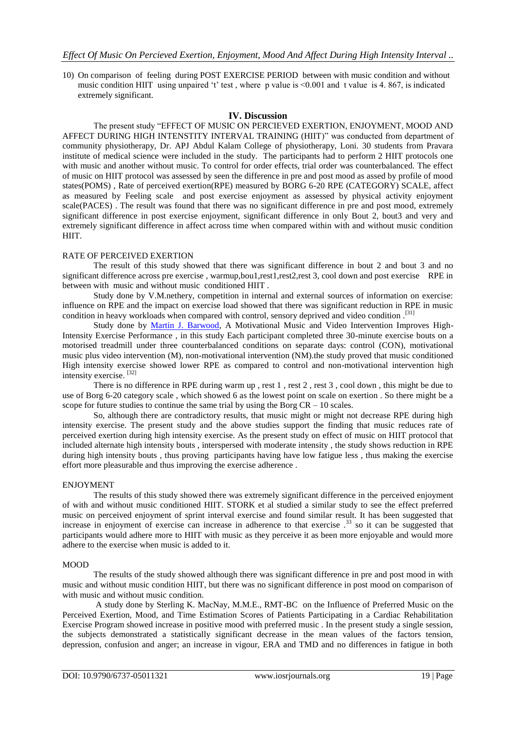10) On comparison of feeling during POST EXERCISE PERIOD between with music condition and without music condition HIIT using unpaired 't' test, where p value is  $\leq 0.001$  and t value is 4, 867, is indicated extremely significant.

# **IV. Discussion**

The present study "EFFECT OF MUSIC ON PERCIEVED EXERTION, ENJOYMENT, MOOD AND AFFECT DURING HIGH INTENSTITY INTERVAL TRAINING (HIIT)" was conducted from department of community physiotherapy, Dr. APJ Abdul Kalam College of physiotherapy, Loni. 30 students from Pravara institute of medical science were included in the study. The participants had to perform 2 HIIT protocols one with music and another without music. To control for order effects, trial order was counterbalanced. The effect of music on HIIT protocol was assessed by seen the difference in pre and post mood as assed by profile of mood states(POMS) , Rate of perceived exertion(RPE) measured by BORG 6-20 RPE (CATEGORY) SCALE, affect as measured by Feeling scale and post exercise enjoyment as assessed by physical activity enjoyment scale(PACES) . The result was found that there was no significant difference in pre and post mood, extremely significant difference in post exercise enjoyment, significant difference in only Bout 2, bout3 and very and extremely significant difference in affect across time when compared within with and without music condition HIIT.

#### RATE OF PERCEIVED EXERTION

The result of this study showed that there was significant difference in bout 2 and bout 3 and no significant difference across pre exercise , warmup,bou1,rest1,rest2,rest 3, cool down and post exercise RPE in between with music and without music conditioned HIIT .

Study done by V.M.nethery, competition in internal and external sources of information on exercise: influence on RPE and the impact on exercise load showed that there was significant reduction in RPE in music condition in heavy workloads when compared with control, sensory deprived and video condition .[31]

Study done by [Martin J. Barwood,](https://www.ncbi.nlm.nih.gov/pubmed/?term=Barwood%20MJ%5BAuthor%5D&cauthor=true&cauthor_uid=24150008) A Motivational Music and Video Intervention Improves High-Intensity Exercise Performance , in this study Each participant completed three 30-minute exercise bouts on a motorised treadmill under three counterbalanced conditions on separate days: control (CON), motivational music plus video intervention (M), non-motivational intervention (NM).the study proved that music conditioned High intensity exercise showed lower RPE as compared to control and non-motivational intervention high intensity exercise. [32]

There is no difference in RPE during warm up, rest 1, rest 2, rest 3, cool down, this might be due to use of Borg 6-20 category scale , which showed 6 as the lowest point on scale on exertion . So there might be a scope for future studies to continue the same trial by using the Borg  $CR - 10$  scales.

So, although there are contradictory results, that music might or might not decrease RPE during high intensity exercise. The present study and the above studies support the finding that music reduces rate of perceived exertion during high intensity exercise. As the present study on effect of music on HIIT protocol that included alternate high intensity bouts , interspersed with moderate intensity , the study shows reduction in RPE during high intensity bouts , thus proving participants having have low fatigue less , thus making the exercise effort more pleasurable and thus improving the exercise adherence .

#### ENJOYMENT

The results of this study showed there was extremely significant difference in the perceived enjoyment of with and without music conditioned HIIT. STORK et al studied a similar study to see the effect preferred music on perceived enjoyment of sprint interval exercise and found similar result. It has been suggested that increase in enjoyment of exercise can increase in adherence to that exercise .<sup>33</sup> so it can be suggested that participants would adhere more to HIIT with music as they perceive it as been more enjoyable and would more adhere to the exercise when music is added to it.

#### MOOD

The results of the study showed although there was significant difference in pre and post mood in with music and without music condition HIIT, but there was no significant difference in post mood on comparison of with music and without music condition.

A study done by Sterling K. MacNay, M.M.E., RMT-BC on the Influence of Preferred Music on the Perceived Exertion, Mood, and Time Estimation Scores of Patients Participating in a Cardiac Rehabilitation Exercise Program showed increase in positive mood with preferred music . In the present study a single session, the subjects demonstrated a statistically significant decrease in the mean values of the factors tension, depression, confusion and anger; an increase in vigour, ERA and TMD and no differences in fatigue in both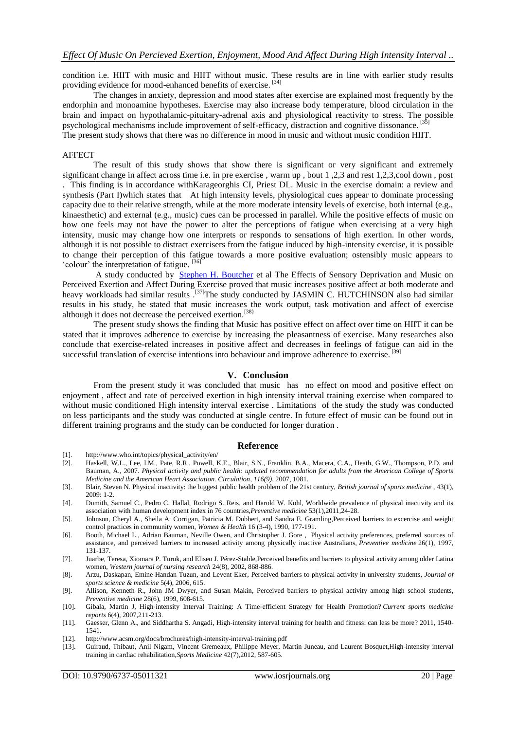condition i.e. HIIT with music and HIIT without music. These results are in line with earlier study results providing evidence for mood-enhanced benefits of exercise.<sup>[34]</sup>

The changes in anxiety, depression and mood states after exercise are explained most frequently by the endorphin and monoamine hypotheses. Exercise may also increase body temperature, blood circulation in the brain and impact on hypothalamic-pituitary-adrenal axis and physiological reactivity to stress. The possible psychological mechanisms include improvement of self-efficacy, distraction and cognitive dissonance.<sup>[35]</sup> The present study shows that there was no difference in mood in music and without music condition HIIT.

#### AFFECT

The result of this study shows that show there is significant or very significant and extremely significant change in affect across time i.e. in pre exercise , warm up , bout 1 ,2,3 and rest 1,2,3,cool down , post . This finding is in accordance withKarageorghis CI, Priest DL. Music in the exercise domain: a review and synthesis (Part I)which states that At high intensity levels, physiological cues appear to dominate processing capacity due to their relative strength, while at the more moderate intensity levels of exercise, both internal (e.g., kinaesthetic) and external (e.g., music) cues can be processed in parallel. While the positive effects of music on how one feels may not have the power to alter the perceptions of fatigue when exercising at a very high intensity, music may change how one interprets or responds to sensations of high exertion. In other words, although it is not possible to distract exercisers from the fatigue induced by high-intensity exercise, it is possible to change their perception of this fatigue towards a more positive evaluation; ostensibly music appears to 'colour' the interpretation of fatigue.  $[36]$ 

A study conducted by [Stephen H. Boutcher](http://journals.humankinetics.com/author/Boutcher%2C+Stephen+H) et al The Effects of Sensory Deprivation and Music on Perceived Exertion and Affect During Exercise proved that music increases positive affect at both moderate and heavy workloads had similar results.<sup>[37]</sup>The study conducted by JASMIN C. HUTCHINSON also had similar results in his study, he stated that music increases the work output, task motivation and affect of exercise although it does not decrease the perceived exertion.<sup>[38]</sup>

The present study shows the finding that Music has positive effect on affect over time on HIIT it can be stated that it improves adherence to exercise by increasing the pleasantness of exercise. Many researches also conclude that exercise-related increases in positive affect and decreases in feelings of fatigue can aid in the successful translation of exercise intentions into behaviour and improve adherence to exercise.<sup>[39]</sup>

### **V. Conclusion**

From the present study it was concluded that music has no effect on mood and positive effect on enjoyment , affect and rate of perceived exertion in high intensity interval training exercise when compared to without music conditioned High intensity interval exercise . Limitations of the study the study was conducted on less participants and the study was conducted at single centre. In future effect of music can be found out in different training programs and the study can be conducted for longer duration .

#### **Reference**

- [1]. [http://www.who.int/topics/physical\\_activity/en/](http://www.who.int/topics/physical_activity/en/)
- [2]. Haskell, W.L., Lee, I.M., Pate, R.R., Powell, K.E., Blair, S.N., Franklin, B.A., Macera, C.A., Heath, G.W., Thompson, P.D. and Bauman, A., 2007. *Physical activity and public health: updated recommendation for adults from the American College of Sports Medicine and the American Heart Association. Circulation, 116(9)*, 2007, 1081.
- [3]. Blair, Steven N. Physical inactivity: the biggest public health problem of the 21st century, *British journal of sports medicine ,* 43(1),  $2009 \cdot 1 - 2$
- [4]. Dumith, Samuel C., Pedro C. Hallal, Rodrigo S. Reis, and Harold W. Kohl, Worldwide prevalence of physical inactivity and its association with human development index in 76 countries,*Preventive medicine* 53(1),2011,24-28.
- [5]. Johnson, Cheryl A., Sheila A. Corrigan, Patricia M. Dubbert, and Sandra E. Gramling,Perceived barriers to excercise and weight control practices in community women, *Women & Health* 16 (3-4), 1990, 177-191.
- [6]. Booth, Michael L., Adrian Bauman, Neville Owen, and Christopher J. Gore , Physical activity preferences, preferred sources of assistance, and perceived barriers to increased activity among physically inactive Australians, *Preventive medicine* 26(1), 1997, 131-137.
- [7]. Juarbe, Teresa, Xiomara P. Turok, and Eliseo J. Pérez-Stable,Perceived benefits and barriers to physical activity among older Latina women, *Western journal of nursing research* 24(8), 2002, 868-886.
- [8]. Arzu, Daskapan, Emine Handan Tuzun, and Levent Eker, Perceived barriers to physical activity in university students, *Journal of sports science & medicine* 5(4), 2006, 615.
- [9]. Allison, Kenneth R., John JM Dwyer, and Susan Makin, Perceived barriers to physical activity among high school students, *Preventive medicine* 28(6), 1999, 608-615.
- [10]. Gibala, Martin J, High‐intensity Interval Training: A Time‐efficient Strategy for Health Promotion? *Current sports medicine reports* 6(4), 2007,211-213.
- [11]. Gaesser, Glenn A., and Siddhartha S. Angadi, High-intensity interval training for health and fitness: can less be more? 2011, 1540- 1541.
- [12]. <http://www.acsm.org/docs/brochures/high-intensity-interval-training.pdf>
- [13]. Guiraud, Thibaut, Anil Nigam, Vincent Gremeaux, Philippe Meyer, Martin Juneau, and Laurent Bosquet,High-intensity interval training in cardiac rehabilitation,*Sports Medicine* 42(7),2012, 587-605.